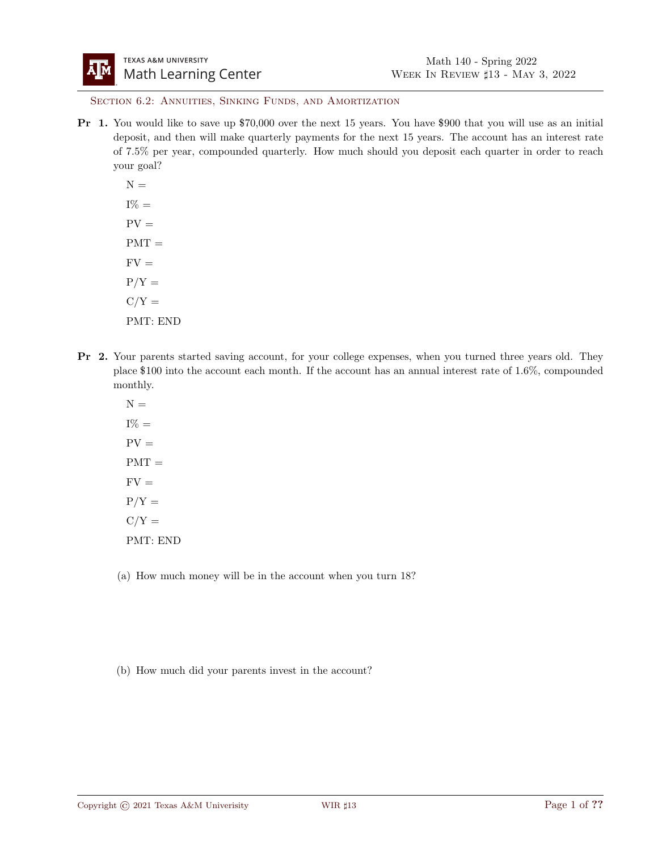SECTION 6.2: ANNUITIES, SINKING FUNDS, AND AMORTIZATION

- Pr 1. You would like to save up \$70,000 over the next 15 years. You have \$900 that you will use as an initial deposit, and then will make quarterly payments for the next 15 years. The account has an interest rate of 7.5% per year, compounded quarterly. How much should you deposit each quarter in order to reach your goal?
	- $N =$  $I\% =$  $PV =$  $PMT =$  $FV =$  $P/Y =$  $C/Y =$ PMT: END
- Pr 2. Your parents started saving account, for your college expenses, when you turned three years old. They place \$100 into the account each month. If the account has an annual interest rate of 1.6%, compounded monthly.
	- $N =$  $I\% =$  $PV =$  $PMT =$  $FV =$  $P/Y =$  $C/Y =$ PMT: END
	- (a) How much money will be in the account when you turn 18?
	- (b) How much did your parents invest in the account?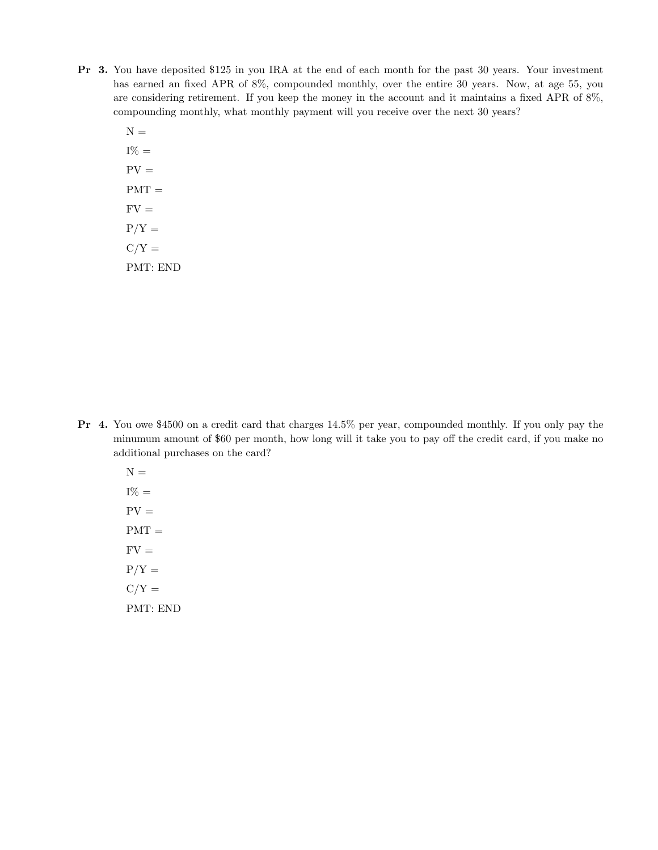- Pr 3. You have deposited \$125 in you IRA at the end of each month for the past 30 years. Your investment has earned an fixed APR of 8%, compounded monthly, over the entire 30 years. Now, at age 55, you are considering retirement. If you keep the money in the account and it maintains a fixed APR of 8%, compounding monthly, what monthly payment will you receive over the next 30 years?
	- $N =$  $I\% =$  $PV =$  $PMT =$  $FV =$  $P/Y =$  $C/Y =$ PMT: END

- Pr 4. You owe \$4500 on a credit card that charges 14.5% per year, compounded monthly. If you only pay the minumum amount of \$60 per month, how long will it take you to pay off the credit card, if you make no additional purchases on the card?
	- $N =$  $I\% =$  $PV =$  $PMT =$  $FV =$  $P/Y =$  $C/Y =$ PMT: END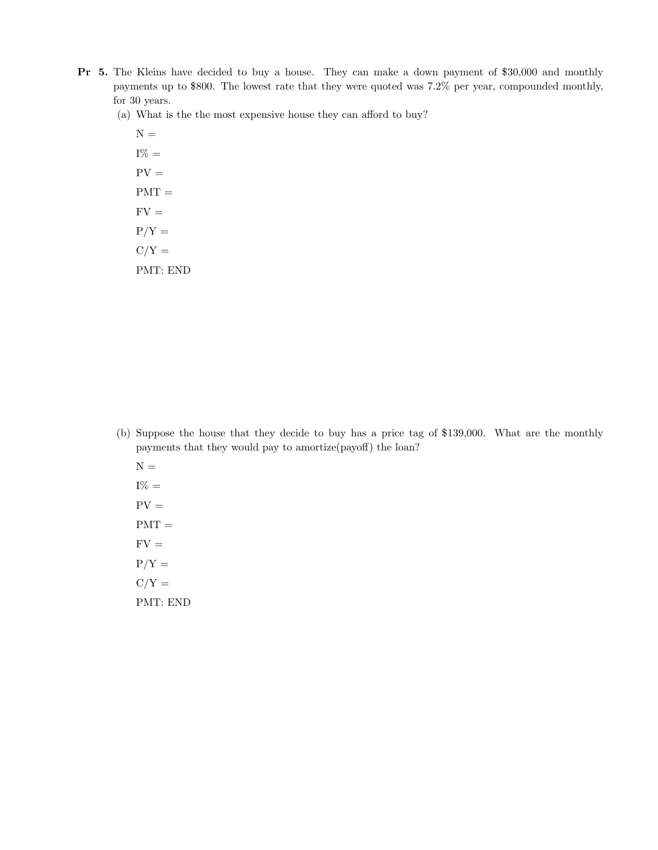- Pr 5. The Kleins have decided to buy a house. They can make a down payment of \$30,000 and monthly payments up to \$800. The lowest rate that they were quoted was 7.2% per year, compounded monthly, for 30 years.
	- (a) What is the the most expensive house they can afford to buy?

 ${\cal N}$   $=$  $I\% =$  $PV =$  $PMT =$  $FV =$  $P/Y =$  $C/Y =$ PMT: END

- (b) Suppose the house that they decide to buy has a price tag of \$139,000. What are the monthly payments that they would pay to amortize(payoff) the loan?
	- ${\cal N}$   $=$  $I\% =$  $PV =$  $PMT =$  $FV =$  $P/Y =$  $C/Y =$ PMT: END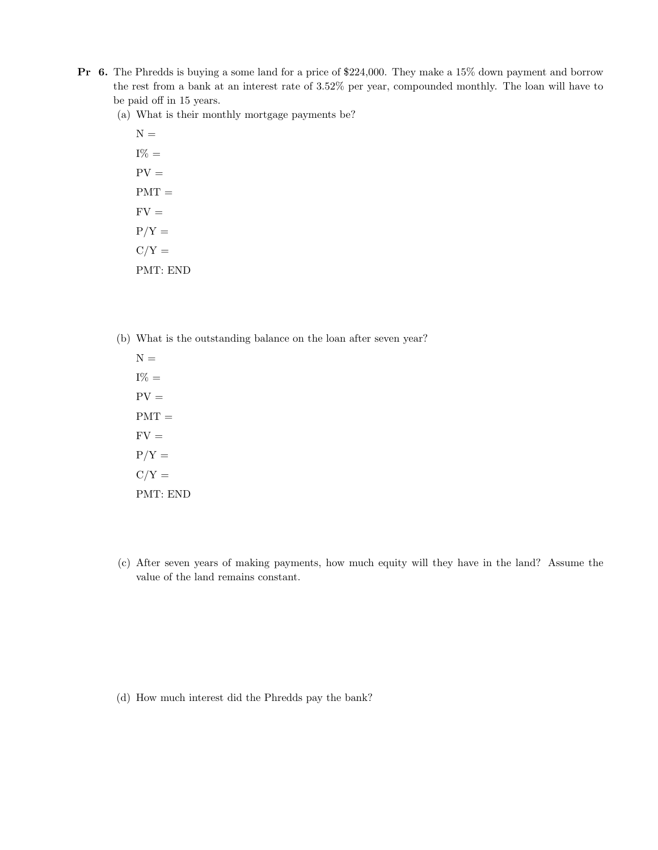- Pr 6. The Phredds is buying a some land for a price of \$224,000. They make a 15% down payment and borrow the rest from a bank at an interest rate of 3.52% per year, compounded monthly. The loan will have to be paid off in 15 years.
	- (a) What is their monthly mortgage payments be?
		- ${\cal N}$   $=$  $I\% =$  $PV =$  $PMT =$  $FV =$  $P/Y =$  $C/Y =$ PMT: END
	- (b) What is the outstanding balance on the loan after seven year?

 $N =$  $I\% =$  $PV =$  $PMT =$  $FV =$  $P/Y =$  $C/Y =$ PMT: END

(c) After seven years of making payments, how much equity will they have in the land? Assume the value of the land remains constant.

(d) How much interest did the Phredds pay the bank?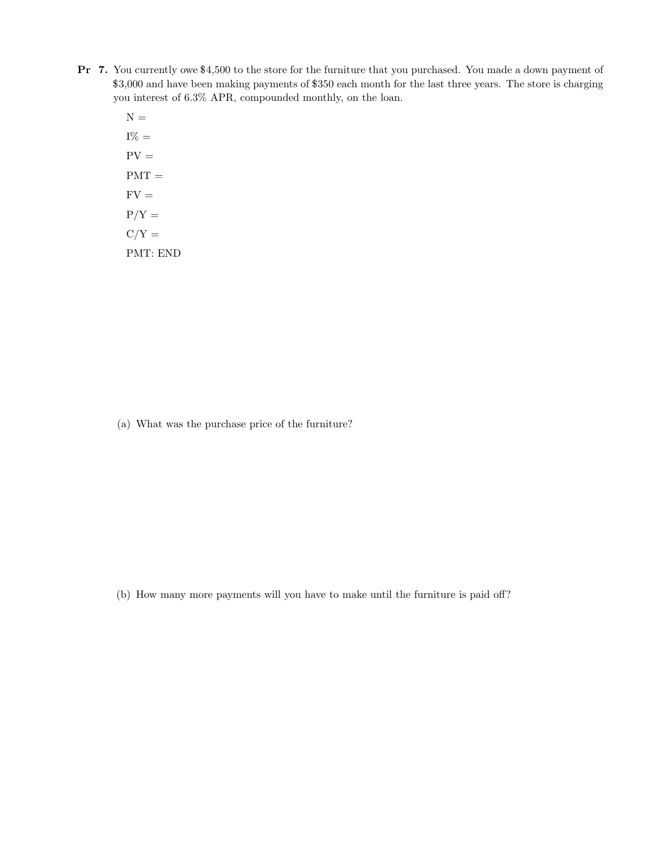- Pr 7. You currently owe \$4,500 to the store for the furniture that you purchased. You made a down payment of \$3,000 and have been making payments of \$350 each month for the last three years. The store is charging you interest of 6.3% APR, compounded monthly, on the loan.
	- ${\cal N}$   $=$  $I\% =$  $PV =$  $PMT =$  $FV =$  $P/Y =$  $C/Y =$ PMT: END

(a) What was the purchase price of the furniture?

(b) How many more payments will you have to make until the furniture is paid off?